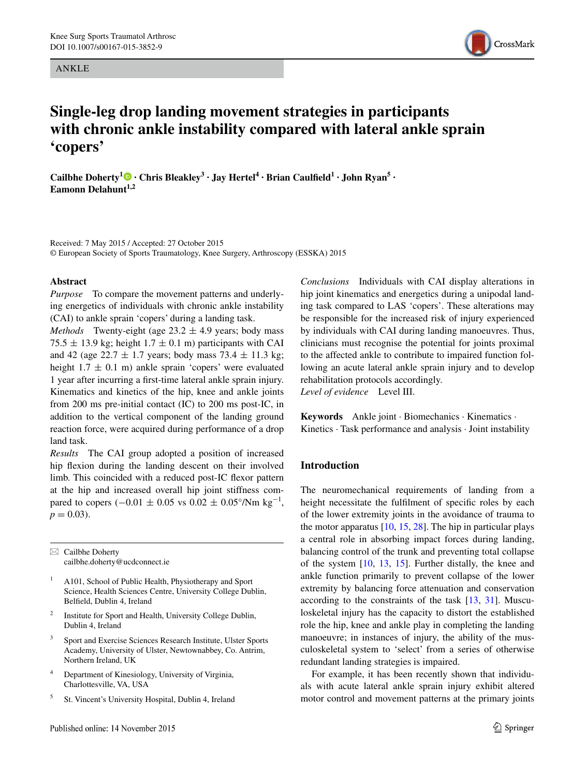ANKLE



# **Single‑leg drop landing movement strategies in participants with chronic ankle instability compared with lateral ankle sprain 'copers'**

**Cailbhe Doherty**<sup>[1](http://orcid.org/0000-0002-5284-856X)</sup>  $\bullet$  **· Chris Bleakley**<sup>3</sup> **· Jay Hertel**<sup>4</sup> **· Brian Caulfield**<sup>1</sup> **· John Ryan<sup>5</sup> · Eamonn Delahunt1,2**

Received: 7 May 2015 / Accepted: 27 October 2015 © European Society of Sports Traumatology, Knee Surgery, Arthroscopy (ESSKA) 2015

#### **Abstract**

*Purpose* To compare the movement patterns and underlying energetics of individuals with chronic ankle instability (CAI) to ankle sprain 'copers' during a landing task.

*Methods* Twenty-eight (age  $23.2 \pm 4.9$  years; body mass 75.5  $\pm$  13.9 kg; height 1.7  $\pm$  0.1 m) participants with CAI and 42 (age 22.7  $\pm$  1.7 years; body mass 73.4  $\pm$  11.3 kg; height  $1.7 \pm 0.1$  m) ankle sprain 'copers' were evaluated 1 year after incurring a first-time lateral ankle sprain injury. Kinematics and kinetics of the hip, knee and ankle joints from 200 ms pre-initial contact (IC) to 200 ms post-IC, in addition to the vertical component of the landing ground reaction force, were acquired during performance of a drop land task.

*Results* The CAI group adopted a position of increased hip flexion during the landing descent on their involved limb. This coincided with a reduced post-IC flexor pattern at the hip and increased overall hip joint stiffness compared to copers  $(-0.01 \pm 0.05 \text{ vs } 0.02 \pm 0.05^{\circ}/\text{Nm kg}^{-1},$  $p = 0.03$ .

 $\boxtimes$  Cailbhe Doherty cailbhe.doherty@ucdconnect.ie

- <sup>1</sup> A101, School of Public Health, Physiotherapy and Sport Science, Health Sciences Centre, University College Dublin, Belfield, Dublin 4, Ireland
- <sup>2</sup> Institute for Sport and Health, University College Dublin, Dublin 4, Ireland
- <sup>3</sup> Sport and Exercise Sciences Research Institute, Ulster Sports Academy, University of Ulster, Newtownabbey, Co. Antrim, Northern Ireland, UK
- <sup>4</sup> Department of Kinesiology, University of Virginia, Charlottesville, VA, USA
- <sup>5</sup> St. Vincent's University Hospital, Dublin 4, Ireland

*Conclusions* Individuals with CAI display alterations in hip joint kinematics and energetics during a unipodal landing task compared to LAS 'copers'. These alterations may be responsible for the increased risk of injury experienced by individuals with CAI during landing manoeuvres. Thus, clinicians must recognise the potential for joints proximal to the affected ankle to contribute to impaired function following an acute lateral ankle sprain injury and to develop rehabilitation protocols accordingly. *Level of evidence* Level III.

**Keywords** Ankle joint · Biomechanics · Kinematics ·

Kinetics · Task performance and analysis · Joint instability

### **Introduction**

The neuromechanical requirements of landing from a height necessitate the fulfilment of specific roles by each of the lower extremity joints in the avoidance of trauma to the motor apparatus  $[10, 15, 28]$  $[10, 15, 28]$  $[10, 15, 28]$  $[10, 15, 28]$  $[10, 15, 28]$ . The hip in particular plays a central role in absorbing impact forces during landing, balancing control of the trunk and preventing total collapse of the system [[10,](#page-10-0) [13](#page-10-3), [15](#page-10-1)]. Further distally, the knee and ankle function primarily to prevent collapse of the lower extremity by balancing force attenuation and conservation according to the constraints of the task [\[13](#page-10-3), [31\]](#page-10-4). Musculoskeletal injury has the capacity to distort the established role the hip, knee and ankle play in completing the landing manoeuvre; in instances of injury, the ability of the musculoskeletal system to 'select' from a series of otherwise redundant landing strategies is impaired.

For example, it has been recently shown that individuals with acute lateral ankle sprain injury exhibit altered motor control and movement patterns at the primary joints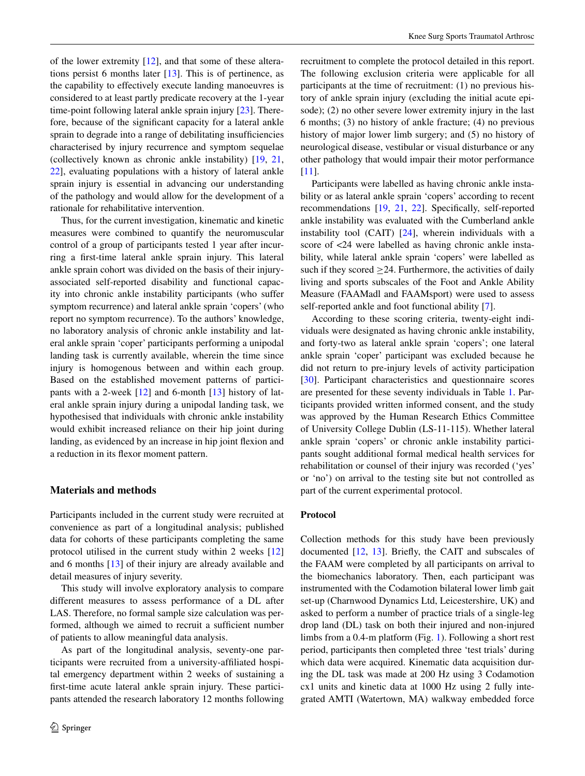of the lower extremity [[12\]](#page-10-5), and that some of these alterations persist 6 months later [\[13](#page-10-3)]. This is of pertinence, as the capability to effectively execute landing manoeuvres is considered to at least partly predicate recovery at the 1-year time-point following lateral ankle sprain injury [\[23](#page-10-6)]. Therefore, because of the significant capacity for a lateral ankle sprain to degrade into a range of debilitating insufficiencies characterised by injury recurrence and symptom sequelae (collectively known as chronic ankle instability) [[19,](#page-10-7) [21,](#page-10-8) [22](#page-10-9)], evaluating populations with a history of lateral ankle sprain injury is essential in advancing our understanding of the pathology and would allow for the development of a rationale for rehabilitative intervention.

Thus, for the current investigation, kinematic and kinetic measures were combined to quantify the neuromuscular control of a group of participants tested 1 year after incurring a first-time lateral ankle sprain injury. This lateral ankle sprain cohort was divided on the basis of their injuryassociated self-reported disability and functional capacity into chronic ankle instability participants (who suffer symptom recurrence) and lateral ankle sprain 'copers' (who report no symptom recurrence). To the authors' knowledge, no laboratory analysis of chronic ankle instability and lateral ankle sprain 'coper' participants performing a unipodal landing task is currently available, wherein the time since injury is homogenous between and within each group. Based on the established movement patterns of participants with a 2-week  $[12]$  $[12]$  and 6-month  $[13]$  $[13]$  history of lateral ankle sprain injury during a unipodal landing task, we hypothesised that individuals with chronic ankle instability would exhibit increased reliance on their hip joint during landing, as evidenced by an increase in hip joint flexion and a reduction in its flexor moment pattern.

### **Materials and methods**

Participants included in the current study were recruited at convenience as part of a longitudinal analysis; published data for cohorts of these participants completing the same protocol utilised in the current study within 2 weeks [[12\]](#page-10-5) and 6 months [\[13](#page-10-3)] of their injury are already available and detail measures of injury severity.

This study will involve exploratory analysis to compare different measures to assess performance of a DL after LAS. Therefore, no formal sample size calculation was performed, although we aimed to recruit a sufficient number of patients to allow meaningful data analysis.

As part of the longitudinal analysis, seventy-one participants were recruited from a university-affiliated hospital emergency department within 2 weeks of sustaining a first-time acute lateral ankle sprain injury. These participants attended the research laboratory 12 months following recruitment to complete the protocol detailed in this report. The following exclusion criteria were applicable for all participants at the time of recruitment: (1) no previous history of ankle sprain injury (excluding the initial acute episode); (2) no other severe lower extremity injury in the last 6 months; (3) no history of ankle fracture; (4) no previous history of major lower limb surgery; and (5) no history of neurological disease, vestibular or visual disturbance or any other pathology that would impair their motor performance [\[11](#page-10-10)].

Participants were labelled as having chronic ankle instability or as lateral ankle sprain 'copers' according to recent recommendations [\[19](#page-10-7), [21](#page-10-8), [22](#page-10-9)]. Specifically, self-reported ankle instability was evaluated with the Cumberland ankle instability tool (CAIT) [[24\]](#page-10-11), wherein individuals with a score of  $\leq$ 24 were labelled as having chronic ankle instability, while lateral ankle sprain 'copers' were labelled as such if they scored  $\geq$  24. Furthermore, the activities of daily living and sports subscales of the Foot and Ankle Ability Measure (FAAMadl and FAAMsport) were used to assess self-reported ankle and foot functional ability [[7\]](#page-10-12).

According to these scoring criteria, twenty-eight individuals were designated as having chronic ankle instability, and forty-two as lateral ankle sprain 'copers'; one lateral ankle sprain 'coper' participant was excluded because he did not return to pre-injury levels of activity participation [\[30](#page-10-13)]. Participant characteristics and questionnaire scores are presented for these seventy individuals in Table [1](#page-2-0). Participants provided written informed consent, and the study was approved by the Human Research Ethics Committee of University College Dublin (LS-11-115). Whether lateral ankle sprain 'copers' or chronic ankle instability participants sought additional formal medical health services for rehabilitation or counsel of their injury was recorded ('yes' or 'no') on arrival to the testing site but not controlled as part of the current experimental protocol.

# **Protocol**

Collection methods for this study have been previously documented [\[12](#page-10-5), [13\]](#page-10-3). Briefly, the CAIT and subscales of the FAAM were completed by all participants on arrival to the biomechanics laboratory. Then, each participant was instrumented with the Codamotion bilateral lower limb gait set-up (Charnwood Dynamics Ltd, Leicestershire, UK) and asked to perform a number of practice trials of a single-leg drop land (DL) task on both their injured and non-injured limbs from a 0.4-m platform (Fig. [1](#page-3-0)). Following a short rest period, participants then completed three 'test trials' during which data were acquired. Kinematic data acquisition during the DL task was made at 200 Hz using 3 Codamotion cx1 units and kinetic data at 1000 Hz using 2 fully integrated AMTI (Watertown, MA) walkway embedded force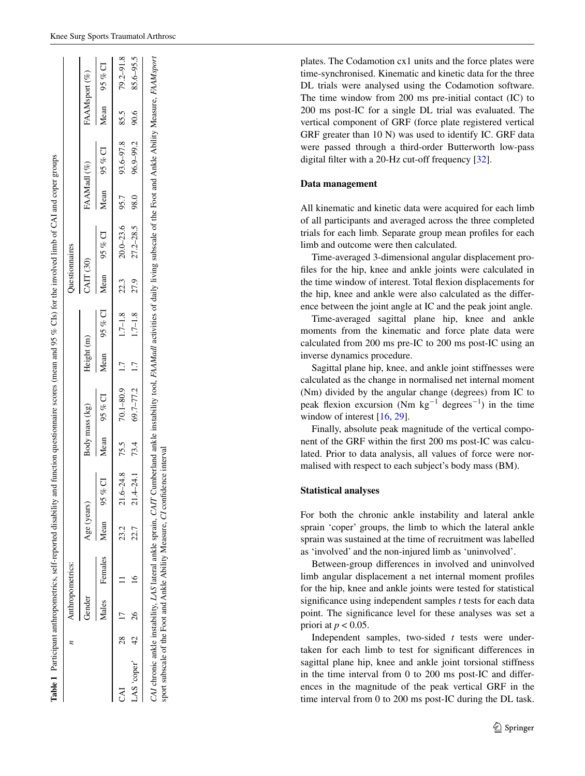|                                                                              |        | Anthropometrics: |             |                |                                                                                                                                                                                               |            |                               | <b>Duestionnaires</b> |                                                        |             |                |                |
|------------------------------------------------------------------------------|--------|------------------|-------------|----------------|-----------------------------------------------------------------------------------------------------------------------------------------------------------------------------------------------|------------|-------------------------------|-----------------------|--------------------------------------------------------|-------------|----------------|----------------|
|                                                                              | Gender |                  | Age (years) |                | Body mass (kg)                                                                                                                                                                                | Height (m) |                               | CAIT <sub>(30)</sub>  |                                                        | FAAMadl (%) |                | FAAMsport (%)  |
|                                                                              |        | Males Females    |             | Mean $95\%$ CI | Mean $95\%$ CI                                                                                                                                                                                |            | Mean $95\%$ CI Mean $95\%$ CI |                       |                                                        |             | Mean $95\%$ CI | Mean $95\%$ CI |
| Z                                                                            | 28 17  |                  | 23.2        |                | 21.6-24.8 75.5 76.5 7.7-1.8 17-1.8 22.3 20.0-23.6 95.7 93.6 95.5 7.1-9.1.8 2.6-97.8                                                                                                           |            |                               |                       |                                                        |             |                |                |
| LAS 'coper' $42$ 26                                                          |        |                  | 22.7        |                | $21.4-24.1$ $73.4$ $69.7-77.2$ $1.7$                                                                                                                                                          |            |                               |                       | $1.7-1.8$ $27.9$ $27.2-28.5$ $98.0$ $96.9-99.2$ $90.6$ |             |                | 85.6-95.5      |
| sport subscale of the Foot and Ankle Ability Measure, CI confidence interval |        |                  |             |                | CAI chronic ankle instability, LAS lateral ankle sprain, CAIT Cumberland ankle instability tool, FAAMadl activities of daily living subscale of the Foot and Ankle Ability Measure, FAAMsport |            |                               |                       |                                                        |             |                |                |

<span id="page-2-0"></span>**Table 1**

Anthropomatrice

Participant anthropometrics, self-reported disability and function questionnaire scores (mean and 95 % CIs) for the involved limb of CAI and coper groups

plates. The Codamotion cx1 units and the force plates were time-synchronised. Kinematic and kinetic data for the three DL trials were analysed using the Codamotion software. The time window from 200 ms pre-initial contact (IC) to 200 ms post-IC for a single DL trial was evaluated. The vertical component of GRF (force plate registered vertical GRF greater than 10 N) was used to identify IC. GRF data were passed through a third-order Butterworth low-pass digital filter with a 20-Hz cut-off frequency [\[32](#page-10-14)].

# **Data management**

All kinematic and kinetic data were acquired for each limb of all participants and averaged across the three completed trials for each limb. Separate group mean profiles for each limb and outcome were then calculated.

Time-averaged 3-dimensional angular displacement pro files for the hip, knee and ankle joints were calculated in the time window of interest. Total flexion displacements for the hip, knee and ankle were also calculated as the differ ence between the joint angle at IC and the peak joint angle.

Time-averaged sagittal plane hip, knee and ankle moments from the kinematic and force plate data were calculated from 200 ms pre-IC to 200 ms post-IC using an inverse dynamics procedure.

Sagittal plane hip, knee, and ankle joint stiffnesses were calculated as the change in normalised net internal moment (Nm) divided by the angular change (degrees) from IC to peak flexion excursion (Nm  $kg^{-1}$  degrees<sup>-1</sup>) in the time window of interest [[16,](#page-10-15) [29\]](#page-10-16).

Finally, absolute peak magnitude of the vertical compo nent of the GRF within the first 200 ms post-IC was calcu lated. Prior to data analysis, all values of force were nor malised with respect to each subject's body mass (BM).

#### **Statistical analyses**

For both the chronic ankle instability and lateral ankle sprain 'coper' groups, the limb to which the lateral ankle sprain was sustained at the time of recruitment was labelled as 'involved' and the non-injured limb as 'uninvolved'.

Between-group differences in involved and uninvolved limb angular displacement a net internal moment profiles for the hip, knee and ankle joints were tested for statistical significance using independent samples *t* tests for each data point. The significance level for these analyses was set a priori at  $p < 0.05$ .

Independent samples, two-sided *t* tests were under taken for each limb to test for significant differences in sagittal plane hip, knee and ankle joint torsional stiffness in the time interval from 0 to 200 ms post-IC and differ ences in the magnitude of the peak vertical GRF in the time interval from 0 to 200 ms post-IC during the DL task.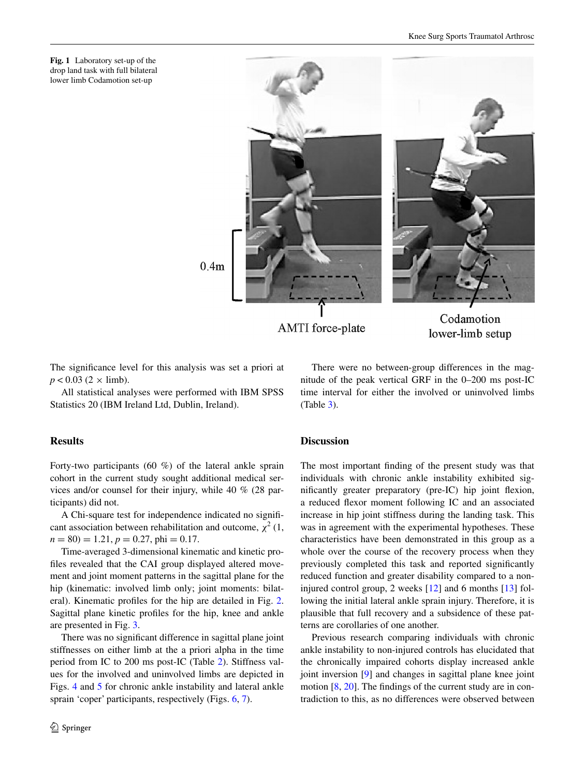<span id="page-3-0"></span>**Fig. 1** Laboratory set-up of the drop land task with full bilateral lower limb Codamotion set-up



The significance level for this analysis was set a priori at  $p < 0.03$  (2  $\times$  limb).

All statistical analyses were performed with IBM SPSS Statistics 20 (IBM Ireland Ltd, Dublin, Ireland).

### **Results**

Forty-two participants (60 %) of the lateral ankle sprain cohort in the current study sought additional medical services and/or counsel for their injury, while 40 % (28 participants) did not.

A Chi-square test for independence indicated no significant association between rehabilitation and outcome,  $\chi^2$  (1,  $n = 80$ ) = 1.21,  $p = 0.27$ , phi = 0.17.

Time-averaged 3-dimensional kinematic and kinetic profiles revealed that the CAI group displayed altered movement and joint moment patterns in the sagittal plane for the hip (kinematic: involved limb only; joint moments: bilateral). Kinematic profiles for the hip are detailed in Fig. [2.](#page-4-0) Sagittal plane kinetic profiles for the hip, knee and ankle are presented in Fig. [3](#page-5-0).

There was no significant difference in sagittal plane joint stiffnesses on either limb at the a priori alpha in the time period from IC to 200 ms post-IC (Table [2\)](#page-6-0). Stiffness values for the involved and uninvolved limbs are depicted in Figs. [4](#page-7-0) and [5](#page-8-0) for chronic ankle instability and lateral ankle sprain 'coper' participants, respectively (Figs. [6](#page-9-0), [7](#page-9-1)).

There were no between-group differences in the magnitude of the peak vertical GRF in the 0–200 ms post-IC time interval for either the involved or uninvolved limbs (Table [3\)](#page-9-2).

# **Discussion**

The most important finding of the present study was that individuals with chronic ankle instability exhibited significantly greater preparatory (pre-IC) hip joint flexion, a reduced flexor moment following IC and an associated increase in hip joint stiffness during the landing task. This was in agreement with the experimental hypotheses. These characteristics have been demonstrated in this group as a whole over the course of the recovery process when they previously completed this task and reported significantly reduced function and greater disability compared to a noninjured control group, 2 weeks [\[12](#page-10-5)] and 6 months [[13\]](#page-10-3) following the initial lateral ankle sprain injury. Therefore, it is plausible that full recovery and a subsidence of these patterns are corollaries of one another.

Previous research comparing individuals with chronic ankle instability to non-injured controls has elucidated that the chronically impaired cohorts display increased ankle joint inversion [[9\]](#page-10-17) and changes in sagittal plane knee joint motion [\[8](#page-10-18), [20](#page-10-19)]. The findings of the current study are in contradiction to this, as no differences were observed between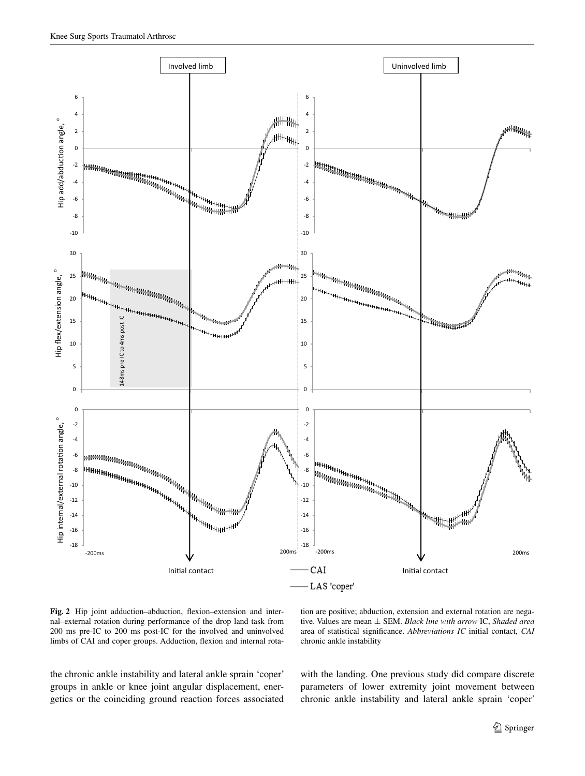

<span id="page-4-0"></span>**Fig. 2** Hip joint adduction–abduction, flexion–extension and internal–external rotation during performance of the drop land task from 200 ms pre-IC to 200 ms post-IC for the involved and uninvolved limbs of CAI and coper groups. Adduction, flexion and internal rota-

tion are positive; abduction, extension and external rotation are negative. Values are mean ± SEM. *Black line with arrow* IC, *Shaded area* area of statistical significance. *Abbreviations IC* initial contact, *CAI* chronic ankle instability

the chronic ankle instability and lateral ankle sprain 'coper' groups in ankle or knee joint angular displacement, energetics or the coinciding ground reaction forces associated with the landing. One previous study did compare discrete parameters of lower extremity joint movement between chronic ankle instability and lateral ankle sprain 'coper'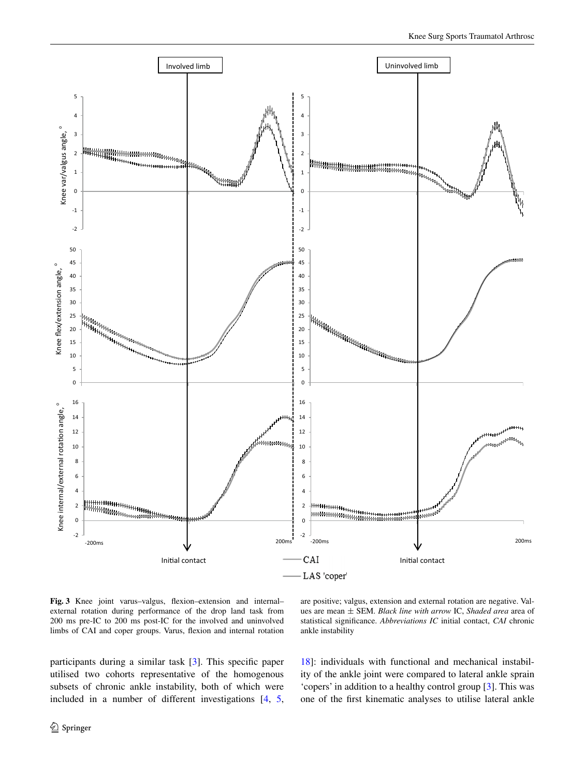

<span id="page-5-0"></span>**Fig. 3** Knee joint varus–valgus, flexion–extension and internal– external rotation during performance of the drop land task from ms pre-IC to 200 ms post-IC for the involved and uninvolved limbs of CAI and coper groups. Varus, flexion and internal rotation

are positive; valgus, extension and external rotation are negative. Values are mean ± SEM. *Black line with arrow* IC, *Shaded area* area of statistical significance. *Abbreviations IC* initial contact, *CAI* chronic ankle instability

participants during a similar task [[3\]](#page-10-20). This specific paper utilised two cohorts representative of the homogenous subsets of chronic ankle instability, both of which were included in a number of different investigations [\[4](#page-10-21), [5,](#page-10-22)

]: individuals with functional and mechanical instability of the ankle joint were compared to lateral ankle sprain 'copers' in addition to a healthy control group [\[3](#page-10-20)]. This was one of the first kinematic analyses to utilise lateral ankle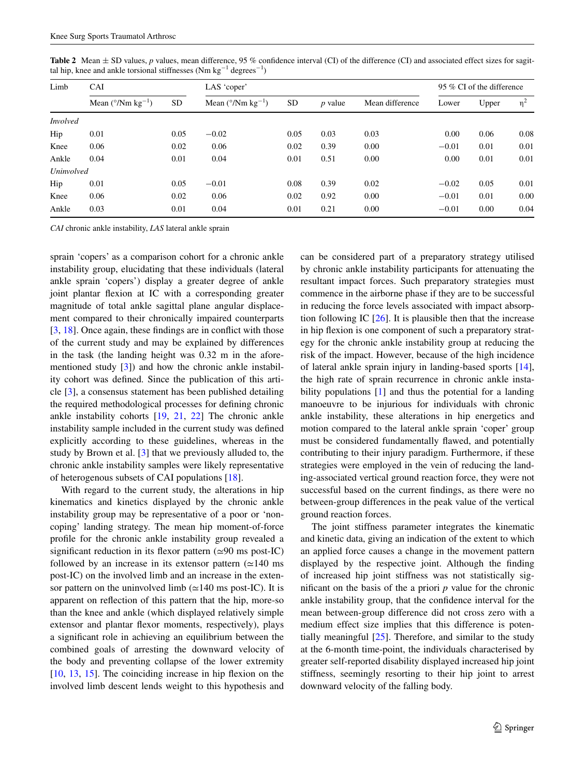| Limb              | <b>CAI</b>                             |      | LAS 'coper'                            | 95 % CI of the difference |           |                 |         |       |          |
|-------------------|----------------------------------------|------|----------------------------------------|---------------------------|-----------|-----------------|---------|-------|----------|
|                   | Mean $(^{\circ}/Nm$ kg <sup>-1</sup> ) | SD.  | Mean $(^{\circ}/Nm$ kg <sup>-1</sup> ) | <b>SD</b>                 | $p$ value | Mean difference | Lower   | Upper | $\eta^2$ |
| <i>Involved</i>   |                                        |      |                                        |                           |           |                 |         |       |          |
| Hip               | 0.01                                   | 0.05 | $-0.02$                                | 0.05                      | 0.03      | 0.03            | 0.00    | 0.06  | 0.08     |
| Knee              | 0.06                                   | 0.02 | 0.06                                   | 0.02                      | 0.39      | 0.00            | $-0.01$ | 0.01  | 0.01     |
| Ankle             | 0.04                                   | 0.01 | 0.04                                   | 0.01                      | 0.51      | 0.00            | 0.00    | 0.01  | 0.01     |
| <i>Uninvolved</i> |                                        |      |                                        |                           |           |                 |         |       |          |
| Hip               | 0.01                                   | 0.05 | $-0.01$                                | 0.08                      | 0.39      | 0.02            | $-0.02$ | 0.05  | 0.01     |
| Knee              | 0.06                                   | 0.02 | 0.06                                   | 0.02                      | 0.92      | 0.00            | $-0.01$ | 0.01  | 0.00     |
| Ankle             | 0.03                                   | 0.01 | 0.04                                   | 0.01                      | 0.21      | 0.00            | $-0.01$ | 0.00  | 0.04     |
|                   |                                        |      |                                        |                           |           |                 |         |       |          |

<span id="page-6-0"></span>**Table 2** Mean ± SD values, *p* values, mean difference, 95 % confidence interval (CI) of the difference (CI) and associated effect sizes for sagittal hip, knee and ankle torsional stiffnesses (Nm  $kg^{-1}$  degrees<sup>-1</sup>)

*CAI* chronic ankle instability, *LAS* lateral ankle sprain

sprain 'copers' as a comparison cohort for a chronic ankle instability group, elucidating that these individuals (lateral ankle sprain 'copers') display a greater degree of ankle joint plantar flexion at IC with a corresponding greater magnitude of total ankle sagittal plane angular displacement compared to their chronically impaired counterparts [\[3](#page-10-20), [18](#page-10-23)]. Once again, these findings are in conflict with those of the current study and may be explained by differences in the task (the landing height was 0.32 m in the aforementioned study [\[3](#page-10-20)]) and how the chronic ankle instability cohort was defined. Since the publication of this article [[3\]](#page-10-20), a consensus statement has been published detailing the required methodological processes for defining chronic ankle instability cohorts [[19,](#page-10-7) [21](#page-10-8), [22](#page-10-9)] The chronic ankle instability sample included in the current study was defined explicitly according to these guidelines, whereas in the study by Brown et al. [[3\]](#page-10-20) that we previously alluded to, the chronic ankle instability samples were likely representative of heterogenous subsets of CAI populations [\[18](#page-10-23)].

With regard to the current study, the alterations in hip kinematics and kinetics displayed by the chronic ankle instability group may be representative of a poor or 'noncoping' landing strategy. The mean hip moment-of-force profile for the chronic ankle instability group revealed a significant reduction in its flexor pattern (≃90 ms post-IC) followed by an increase in its extensor pattern ( $\simeq$ 140 ms post-IC) on the involved limb and an increase in the extensor pattern on the uninvolved limb ( $\simeq$ 140 ms post-IC). It is apparent on reflection of this pattern that the hip, more-so than the knee and ankle (which displayed relatively simple extensor and plantar flexor moments, respectively), plays a significant role in achieving an equilibrium between the combined goals of arresting the downward velocity of the body and preventing collapse of the lower extremity [\[10](#page-10-0), [13](#page-10-3), [15\]](#page-10-1). The coinciding increase in hip flexion on the involved limb descent lends weight to this hypothesis and can be considered part of a preparatory strategy utilised by chronic ankle instability participants for attenuating the resultant impact forces. Such preparatory strategies must commence in the airborne phase if they are to be successful in reducing the force levels associated with impact absorption following IC  $[26]$  $[26]$ . It is plausible then that the increase in hip flexion is one component of such a preparatory strategy for the chronic ankle instability group at reducing the risk of the impact. However, because of the high incidence of lateral ankle sprain injury in landing-based sports [\[14](#page-10-25)], the high rate of sprain recurrence in chronic ankle insta-bility populations [[1\]](#page-10-26) and thus the potential for a landing manoeuvre to be injurious for individuals with chronic ankle instability, these alterations in hip energetics and motion compared to the lateral ankle sprain 'coper' group must be considered fundamentally flawed, and potentially contributing to their injury paradigm. Furthermore, if these strategies were employed in the vein of reducing the landing-associated vertical ground reaction force, they were not successful based on the current findings, as there were no between-group differences in the peak value of the vertical ground reaction forces.

The joint stiffness parameter integrates the kinematic and kinetic data, giving an indication of the extent to which an applied force causes a change in the movement pattern displayed by the respective joint. Although the finding of increased hip joint stiffness was not statistically significant on the basis of the a priori *p* value for the chronic ankle instability group, that the confidence interval for the mean between-group difference did not cross zero with a medium effect size implies that this difference is potentially meaningful [\[25](#page-10-27)]. Therefore, and similar to the study at the 6-month time-point, the individuals characterised by greater self-reported disability displayed increased hip joint stiffness, seemingly resorting to their hip joint to arrest downward velocity of the falling body.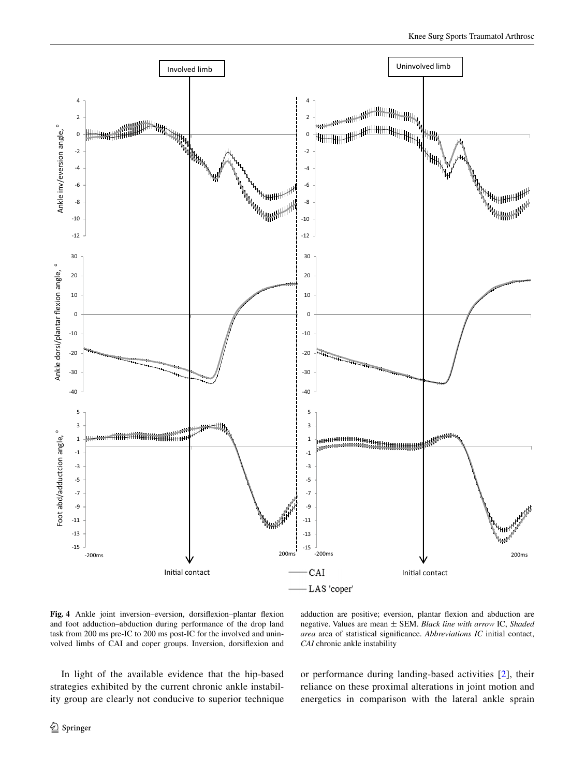

<span id="page-7-0"></span>**Fig. 4** Ankle joint inversion–eversion, dorsiflexion–plantar flexion and foot adduction–abduction during performance of the drop land task from 200 ms pre-IC to 200 ms post-IC for the involved and uninvolved limbs of CAI and coper groups. Inversion, dorsiflexion and

adduction are positive; eversion, plantar flexion and abduction are negative. Values are mean ± SEM. *Black line with arrow* IC, *Shaded area* area of statistical significance. *Abbreviations IC* initial contact, *CAI* chronic ankle instability

In light of the available evidence that the hip-based strategies exhibited by the current chronic ankle instability group are clearly not conducive to superior technique or performance during landing-based activities [\[2\]](#page-10-28), their reliance on these proximal alterations in joint motion and energetics in comparison with the lateral ankle sprain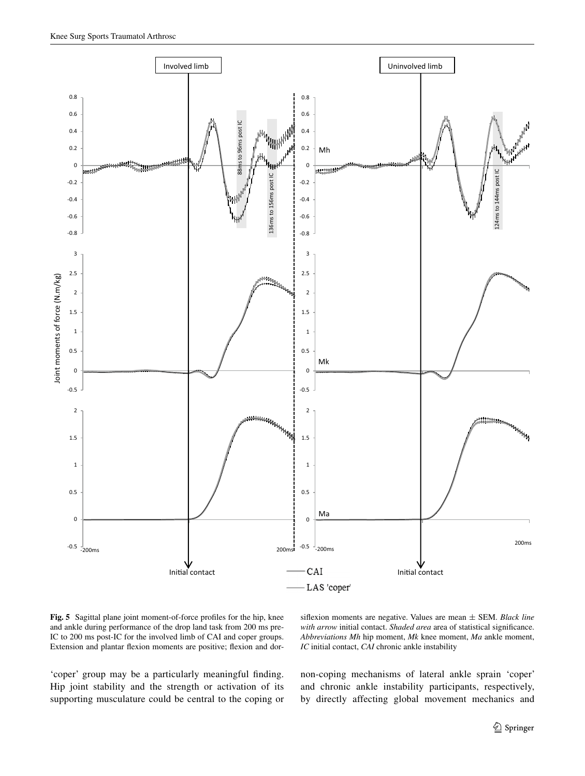

<span id="page-8-0"></span>**Fig. 5** Sagittal plane joint moment-of-force profiles for the hip, knee and ankle during performance of the drop land task from 200 ms pre-IC to 200 ms post-IC for the involved limb of CAI and coper groups. Extension and plantar flexion moments are positive; flexion and dor-

siflexion moments are negative. Values are mean ± SEM. *Black line with arrow* initial contact. *Shaded area* area of statistical significance. *Abbreviations Mh* hip moment, *Mk* knee moment, *Ma* ankle moment, *IC* initial contact, *CAI* chronic ankle instability

'coper' group may be a particularly meaningful finding. Hip joint stability and the strength or activation of its supporting musculature could be central to the coping or non-coping mechanisms of lateral ankle sprain 'coper' and chronic ankle instability participants, respectively, by directly affecting global movement mechanics and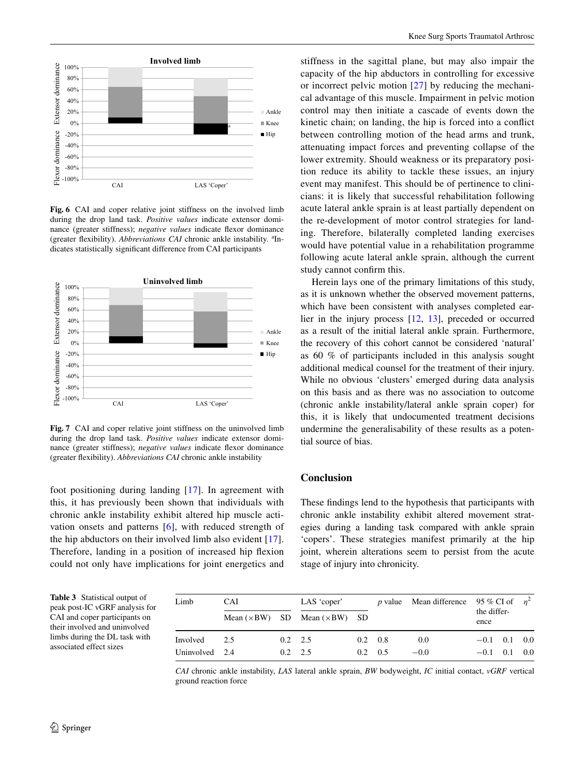

<span id="page-9-0"></span>**Fig. 6** CAI and coper relative joint stiffness on the involved limb during the drop land task. *Positive values* indicate extensor dominance (greater stiffness); *negative values* indicate flexor dominance (greater flexibility). Abbreviations CAI chronic ankle instability. <sup>a</sup>Indicates statistically significant difference from CAI participants



<span id="page-9-1"></span>**Fig. 7** CAI and coper relative joint stiffness on the uninvolved limb during the drop land task. *Positive values* indicate extensor dominance (greater stiffness); *negative values* indicate flexor dominance (greater flexibility). *Abbreviations CAI* chronic ankle instability

foot positioning during landing [\[17](#page-10-29)]. In agreement with this, it has previously been shown that individuals with chronic ankle instability exhibit altered hip muscle activation onsets and patterns [\[6](#page-10-30)], with reduced strength of the hip abductors on their involved limb also evident [[17](#page-10-29)]. Therefore, landing in a position of increased hip flexion could not only have implications for joint energetics and stiffness in the sagittal plane, but may also impair the capacity of the hip abductors in controlling for excessive or incorrect pelvic motion [\[27\]](#page-10-31) by reducing the mechanical advantage of this muscle. Impairment in pelvic motion control may then initiate a cascade of events down the kinetic chain; on landing, the hip is forced into a conflict between controlling motion of the head arms and trunk, attenuating impact forces and preventing collapse of the lower extremity. Should weakness or its preparatory position reduce its ability to tackle these issues, an injury event may manifest. This should be of pertinence to clinicians: it is likely that successful rehabilitation following acute lateral ankle sprain is at least partially dependent on the re-development of motor control strategies for landing. Therefore, bilaterally completed landing exercises would have potential value in a rehabilitation programme following acute lateral ankle sprain, although the current study cannot confirm this.

Herein lays one of the primary limitations of this study, as it is unknown whether the observed movement patterns, which have been consistent with analyses completed earlier in the injury process [[12,](#page-10-5) [13\]](#page-10-3), preceded or occurred as a result of the initial lateral ankle sprain. Furthermore, the recovery of this cohort cannot be considered 'natural' as 60 % of participants included in this analysis sought additional medical counsel for the treatment of their injury. While no obvious 'clusters' emerged during data analysis on this basis and as there was no association to outcome (chronic ankle instability/lateral ankle sprain coper) for this, it is likely that undocumented treatment decisions undermine the generalisability of these results as a potential source of bias.

# **Conclusion**

These findings lend to the hypothesis that participants with chronic ankle instability exhibit altered movement strategies during a landing task compared with ankle sprain 'copers'. These strategies manifest primarily at the hip joint, wherein alterations seem to persist from the acute stage of injury into chronicity.

<span id="page-9-2"></span>**Table 3** Statistical output of peak post-IC vGRF analysis for CAI and coper participants on their involved and uninvolved limbs during the DL task with associated effect sizes

| Limb           | <b>CAI</b> | LAS 'coper'                                 |                 | p value Mean difference 95 % CI of $n^2$ |                     |  |     |
|----------------|------------|---------------------------------------------|-----------------|------------------------------------------|---------------------|--|-----|
|                |            | Mean $(\times$ BW) SD Mean $(\times$ BW) SD |                 |                                          | the differ-<br>ence |  |     |
| Involved       | 2.5        | $0.2 \quad 2.5$                             | $0.2 \quad 0.8$ | 0.0                                      | $-0.1$ 0.1 0.0      |  |     |
| Uninvolved 2.4 |            | $0.2 \quad 2.5$                             | $0.2 \quad 0.5$ | $-0.0$                                   | $-0.1$ 0.1          |  | 0.0 |

*CAI* chronic ankle instability, *LAS* lateral ankle sprain, *BW* bodyweight, *IC* initial contact, *vGRF* vertical ground reaction force